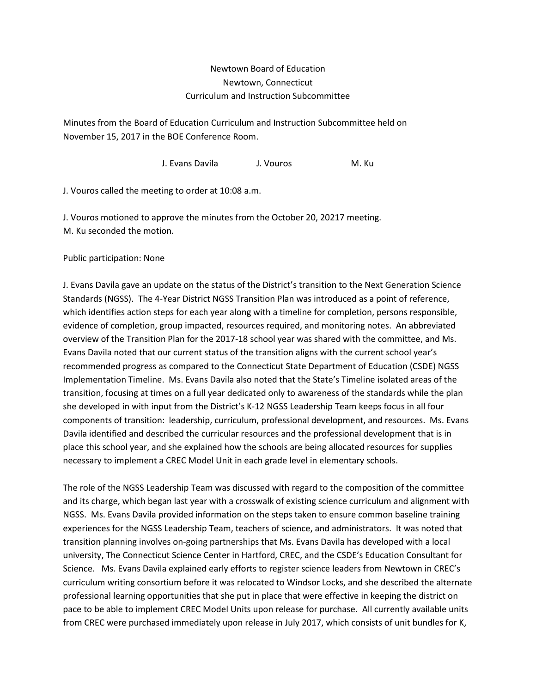## Newtown Board of Education Newtown, Connecticut Curriculum and Instruction Subcommittee

Minutes from the Board of Education Curriculum and Instruction Subcommittee held on November 15, 2017 in the BOE Conference Room.

J. Evans Davila J. Vouros M. Ku

J. Vouros called the meeting to order at 10:08 a.m.

J. Vouros motioned to approve the minutes from the October 20, 20217 meeting. M. Ku seconded the motion.

Public participation: None

J. Evans Davila gave an update on the status of the District's transition to the Next Generation Science Standards (NGSS). The 4-Year District NGSS Transition Plan was introduced as a point of reference, which identifies action steps for each year along with a timeline for completion, persons responsible, evidence of completion, group impacted, resources required, and monitoring notes. An abbreviated overview of the Transition Plan for the 2017-18 school year was shared with the committee, and Ms. Evans Davila noted that our current status of the transition aligns with the current school year's recommended progress as compared to the Connecticut State Department of Education (CSDE) NGSS Implementation Timeline. Ms. Evans Davila also noted that the State's Timeline isolated areas of the transition, focusing at times on a full year dedicated only to awareness of the standards while the plan she developed in with input from the District's K-12 NGSS Leadership Team keeps focus in all four components of transition: leadership, curriculum, professional development, and resources. Ms. Evans Davila identified and described the curricular resources and the professional development that is in place this school year, and she explained how the schools are being allocated resources for supplies necessary to implement a CREC Model Unit in each grade level in elementary schools.

The role of the NGSS Leadership Team was discussed with regard to the composition of the committee and its charge, which began last year with a crosswalk of existing science curriculum and alignment with NGSS. Ms. Evans Davila provided information on the steps taken to ensure common baseline training experiences for the NGSS Leadership Team, teachers of science, and administrators. It was noted that transition planning involves on-going partnerships that Ms. Evans Davila has developed with a local university, The Connecticut Science Center in Hartford, CREC, and the CSDE's Education Consultant for Science. Ms. Evans Davila explained early efforts to register science leaders from Newtown in CREC's curriculum writing consortium before it was relocated to Windsor Locks, and she described the alternate professional learning opportunities that she put in place that were effective in keeping the district on pace to be able to implement CREC Model Units upon release for purchase. All currently available units from CREC were purchased immediately upon release in July 2017, which consists of unit bundles for K,